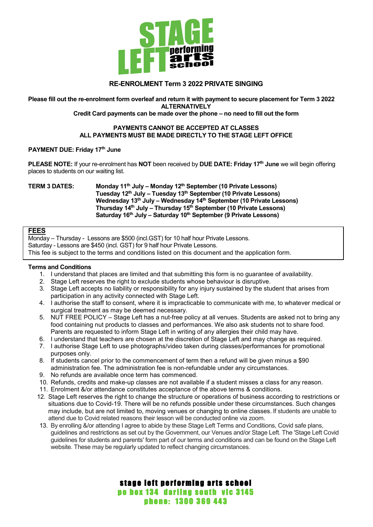

# **RE-ENROLMENT Term 3 2022 PRIVATE SINGING**

**Please fill out the re-enrolment form overleaf and return it with payment to secure placement for Term 3 2022 ALTERNATIVELY**

**Credit Card payments can be made over the phone – no need to fill out the form**

## **PAYMENTS CANNOT BE ACCEPTED AT CLASSES ALL PAYMENTS MUST BE MADE DIRECTLY TO THE STAGE LEFT OFFICE**

## **PAYMENT DUE: Friday 17th June**

**PLEASE NOTE:** If your re-enrolment has **NOT** been received by **DUE DATE: Friday 17th June** we will begin offering places to students on our waiting list.

#### **TERM 3 DATES: Monday 11th July – Monday 12th September (10 Private Lessons) Tuesday 12th July – Tuesday 13th September (10 Private Lessons) Wednesday 13th July – Wednesday 14th September (10 Private Lessons) Thursday 14th July – Thursday 15th September (10 Private Lessons) Saturday 16th July – Saturday 10th September (9 Private Lessons)**

# **FEES**

Monday – Thursday - Lessons are \$500 (incl.GST) for 10 half hour Private Lessons. Saturday - Lessons are \$450 (incl. GST) for 9 half hour Private Lessons. This fee is subject to the terms and conditions listed on this document and the application form.

## **Terms and Conditions**

- 1. I understand that places are limited and that submitting this form is no guarantee of availability.
- 2. Stage Left reserves the right to exclude students whose behaviour is disruptive.
- 3. Stage Left accepts no liability or responsibility for any injury sustained by the student that arises from participation in any activity connected with Stage Left.
- 4. I authorise the staff to consent, where it is impracticable to communicate with me, to whatever medical or surgical treatment as may be deemed necessary.
- 5. NUT FREE POLICY Stage Left has a nut-free policy at all venues. Students are asked not to bring any food containing nut products to classes and performances. We also ask students not to share food. Parents are requested to inform Stage Left in writing of any allergies their child may have.
- 6. I understand that teachers are chosen at the discretion of Stage Left and may change as required.
- 7. I authorise Stage Left to use photographs/video taken during classes/performances for promotional purposes only.
- 8. If students cancel prior to the commencement of term then a refund will be given minus a \$90 administration fee. The administration fee is non-refundable under any circumstances.
- 9. No refunds are available once term has commenced.
- 10. Refunds, credits and make-up classes are not available if a student misses a class for any reason.
- 11. Enrolment &/or attendance constitutes acceptance of the above terms & conditions.
- 12. Stage Left reserves the right to change the structure or operations of business according to restrictions or situations due to Covid-19. There will be no refunds possible under these circumstances. Such changes may include, but are not limited to, moving venues or changing to online classes. If students are unable to attend due to Covid related reasons their lesson will be conducted online via zoom.
- 13. By enrolling &/or attending I agree to abide by these Stage Left Terms and Conditions, Covid safe plans, guidelines and restrictions as set out by the Government, our Venues and/or Stage Left. The 'Stage Left Covid guidelines for students and parents' form part of our terms and conditions and can be found on the Stage Left website. These may be regularly updated to reflect changing circumstances.